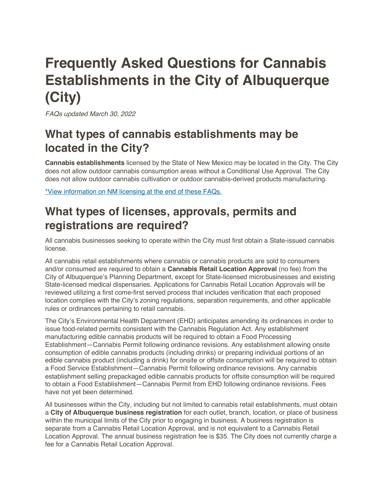# **Frequently Asked Questions for Cannabis Establishments in the City of Albuquerque (City)**

*FAQs updated March 30, 2022*

# **What types of cannabis establishments may be located in the City?**

**Cannabis establishments** licensed by the State of New Mexico may be located in the City. The City does not allow outdoor cannabis consumption areas without a Conditional Use Approval. The City does not allow outdoor cannabis cultivation or outdoor cannabis-derived products manufacturing.

\*View information on NM licensing at the end of these FAQs.

## **What types of licenses, approvals, permits and registrations are required?**

All cannabis businesses seeking to operate within the City must first obtain a State-issued cannabis license.

All cannabis retail establishments where cannabis or cannabis products are sold to consumers and/or consumed are required to obtain a **Cannabis Retail Location Approval** (no fee) from the City of Albuquerque's Planning Department, except for State-licensed microbusinesses and existing State-licensed medical dispensaries. Applications for Cannabis Retail Location Approvals will be reviewed utilizing a first come-first served process that includes verification that each proposed location complies with the City's zoning regulations, separation requirements, and other applicable rules or ordinances pertaining to retail cannabis.

The City's Environmental Health Department (EHD) anticipates amending its ordinances in order to issue food-related permits consistent with the Cannabis Regulation Act. Any establishment manufacturing edible cannabis products will be required to obtain a Food Processing Establishment—Cannabis Permit following ordinance revisions. Any establishment allowing onsite consumption of edible cannabis products (including drinks) or preparing individual portions of an edible cannabis product (including a drink) for onsite or offsite consumption will be required to obtain a Food Service Establishment—Cannabis Permit following ordinance revisions. Any cannabis establishment selling prepackaged edible cannabis products for offsite consumption will be required to obtain a Food Establishment—Cannabis Permit from EHD following ordinance revisions. Fees have not yet been determined.

All businesses within the City, including but not limited to cannabis retail establishments, must obtain a **City of Albuquerque business registration** for each outlet, branch, location, or place of business within the municipal limits of the City prior to engaging in business. A business registration is separate from a Cannabis Retail Location Approval, and is not equivalent to a Cannabis Retail Location Approval. The annual business registration fee is \$35. The City does not currently charge a fee for a Cannabis Retail Location Approval.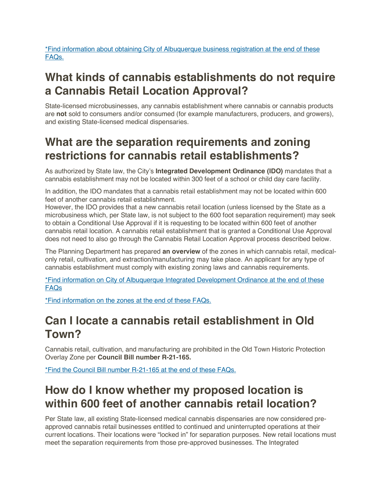\*Find information about obtaining City of Albuquerque business registration at the end of these FAQs.

# **What kinds of cannabis establishments do not require a Cannabis Retail Location Approval?**

State-licensed microbusinesses, any cannabis establishment where cannabis or cannabis products are **not** sold to consumers and/or consumed (for example manufacturers, producers, and growers), and existing State-licensed medical dispensaries.

## **What are the separation requirements and zoning restrictions for cannabis retail establishments?**

As authorized by State law, the City's **Integrated Development Ordinance (IDO)** mandates that a cannabis establishment may not be located within 300 feet of a school or child day care facility.

In addition, the IDO mandates that a cannabis retail establishment may not be located within 600 feet of another cannabis retail establishment.

However, the IDO provides that a new cannabis retail location (unless licensed by the State as a microbusiness which, per State law, is not subject to the 600 foot separation requirement) may seek to obtain a Conditional Use Approval if it is requesting to be located within 600 feet of another cannabis retail location. A cannabis retail establishment that is granted a Conditional Use Approval does not need to also go through the Cannabis Retail Location Approval process described below.

The Planning Department has prepared **an overview** of the zones in which cannabis retail, medicalonly retail, cultivation, and extraction/manufacturing may take place. An applicant for any type of cannabis establishment must comply with existing zoning laws and cannabis requirements.

\*Find information on City of Albuquerque Integrated Development Ordinance at the end of these FAQs

\*Find information on the zones at the end of these FAQs.

## **Can I locate a cannabis retail establishment in Old Town?**

Cannabis retail, cultivation, and manufacturing are prohibited in the Old Town Historic Protection Overlay Zone per **Council Bill number R-21-165.**

\*Find the Council Bill number R-21-165 at the end of these FAQs.

## **How do I know whether my proposed location is within 600 feet of another cannabis retail location?**

Per State law, all existing State-licensed medical cannabis dispensaries are now considered preapproved cannabis retail businesses entitled to continued and uninterrupted operations at their current locations. Their locations were "locked in" for separation purposes. New retail locations must meet the separation requirements from those pre-approved businesses. The Integrated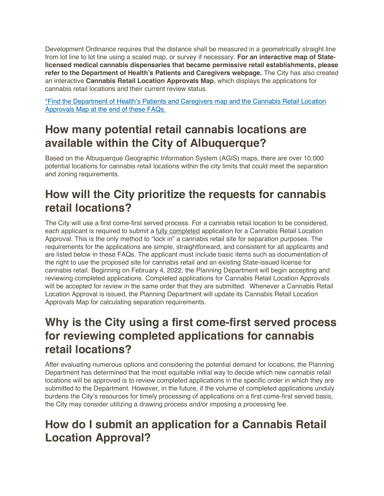Development Ordinance requires that the distance shall be measured in a geometrically straight line from lot line to lot line using a scaled map, or survey if necessary. **For an interactive map of Statelicensed medical cannabis dispensaries that became permissive retail establishments, please refer to the Department of Health's Patients and Caregivers webpage.** The City has also created an interactive **Cannabis Retail Location Approvals Map**, which displays the applications for cannabis retail locations and their current review status.

\*Find the Department of Health's Patients and Caregivers map and the Cannabis Retail Location Approvals Map at the end of these FAQs.

## **How many potential retail cannabis locations are available within the City of Albuquerque?**

Based on the Albuquerque Geographic Information System (AGIS) maps, there are over 10,000 potential locations for cannabis retail locations within the city limits that could meet the separation and zoning requirements.

# **How will the City prioritize the requests for cannabis retail locations?**

The City will use a first come-first served process. For a cannabis retail location to be considered, each applicant is required to submit a fully completed application for a Cannabis Retail Location Approval. This is the only method to "lock in" a cannabis retail site for separation purposes. The requirements for the applications are simple, straightforward, and consistent for all applicants and are listed below in these FAQs. The applicant must include basic items such as documentation of the right to use the proposed site for cannabis retail and an existing State-issued license for cannabis retail. Beginning on February 4, 2022, the Planning Department will begin accepting and reviewing completed applications. Completed applications for Cannabis Retail Location Approvals will be accepted for review in the same order that they are submitted. Whenever a Cannabis Retail Location Approval is issued, the Planning Department will update its Cannabis Retail Location Approvals Map for calculating separation requirements.

## **Why is the City using a first come-first served process for reviewing completed applications for cannabis retail locations?**

After evaluating numerous options and considering the potential demand for locations, the Planning Department has determined that the most equitable initial way to decide which new cannabis retail locations will be approved is to review completed applications in the specific order in which they are submitted to the Department. However, in the future, if the volume of completed applications unduly burdens the City's resources for timely processing of applications on a first come-first served basis, the City may consider utilizing a drawing process and/or imposing a processing fee.

# **How do I submit an application for a Cannabis Retail Location Approval?**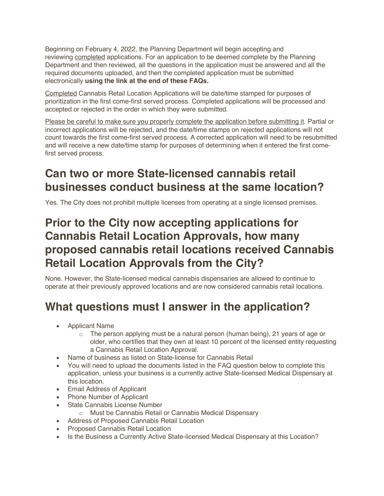Beginning on February 4, 2022, the Planning Department will begin accepting and reviewing completed applications. For an application to be deemed complete by the Planning Department and then reviewed, all the questions in the application must be answered and all the required documents uploaded, and then the completed application must be submitted electronically **using the link at the end of these FAQs.**

Completed Cannabis Retail Location Applications will be date/time stamped for purposes of prioritization in the first come-first served process. Completed applications will be processed and accepted or rejected in the order in which they were submitted.

Please be careful to make sure you properly complete the application before submitting it. Partial or incorrect applications will be rejected, and the date/time stamps on rejected applications will not count towards the first come-first served process. A corrected application will need to be resubmitted and will receive a new date/time stamp for purposes of determining when it entered the first comefirst served process.

## **Can two or more State-licensed cannabis retail businesses conduct business at the same location?**

Yes. The City does not prohibit multiple licenses from operating at a single licensed premises.

# **Prior to the City now accepting applications for Cannabis Retail Location Approvals, how many proposed cannabis retail locations received Cannabis Retail Location Approvals from the City?**

None. However, the State-licensed medical cannabis dispensaries are allowed to continue to operate at their previously approved locations and are now considered cannabis retail locations.

# **What questions must I answer in the application?**

- Applicant Name
	- $\circ$  The person applying must be a natural person (human being), 21 years of age or older, who certifies that they own at least 10 percent of the licensed entity requesting a Cannabis Retail Location Approval.
- Name of business as listed on State-license for Cannabis Retail
- You will need to upload the documents listed in the FAQ question below to complete this application, unless your business is a currently active State-licensed Medical Dispensary at this location.
- Email Address of Applicant
- Phone Number of Applicant
- State Cannabis License Number
	- o Must be Cannabis Retail or Cannabis Medical Dispensary
- Address of Proposed Cannabis Retail Location
- Proposed Cannabis Retail Location
- Is the Business a Currently Active State-licensed Medical Dispensary at this Location?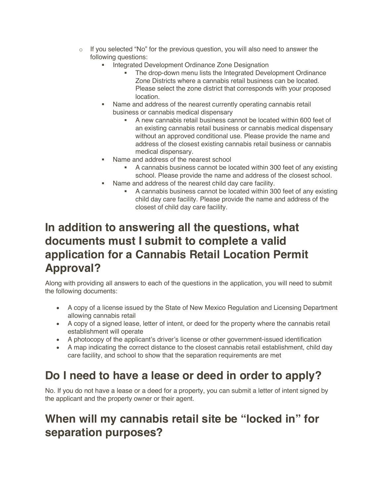- $\circ$  If you selected "No" for the previous question, you will also need to answer the following questions:
	- Integrated Development Ordinance Zone Designation
		- The drop-down menu lists the Integrated Development Ordinance Zone Districts where a cannabis retail business can be located. Please select the zone district that corresponds with your proposed location.
	- Name and address of the nearest currently operating cannabis retail business or cannabis medical dispensary
		- § A new cannabis retail business cannot be located within 600 feet of an existing cannabis retail business or cannabis medical dispensary without an approved conditional use. Please provide the name and address of the closest existing cannabis retail business or cannabis medical dispensary.
	- Name and address of the nearest school
		- § A cannabis business cannot be located within 300 feet of any existing school. Please provide the name and address of the closest school.
		- Name and address of the nearest child day care facility.
			- § A cannabis business cannot be located within 300 feet of any existing child day care facility. Please provide the name and address of the closest of child day care facility.

## **In addition to answering all the questions, what documents must I submit to complete a valid application for a Cannabis Retail Location Permit Approval?**

Along with providing all answers to each of the questions in the application, you will need to submit the following documents:

- A copy of a license issued by the State of New Mexico Regulation and Licensing Department allowing cannabis retail
- A copy of a signed lease, letter of intent, or deed for the property where the cannabis retail establishment will operate
- A photocopy of the applicant's driver's license or other government-issued identification
- A map indicating the correct distance to the closest cannabis retail establishment, child day care facility, and school to show that the separation requirements are met

## **Do I need to have a lease or deed in order to apply?**

No. If you do not have a lease or a deed for a property, you can submit a letter of intent signed by the applicant and the property owner or their agent.

## **When will my cannabis retail site be "locked in" for separation purposes?**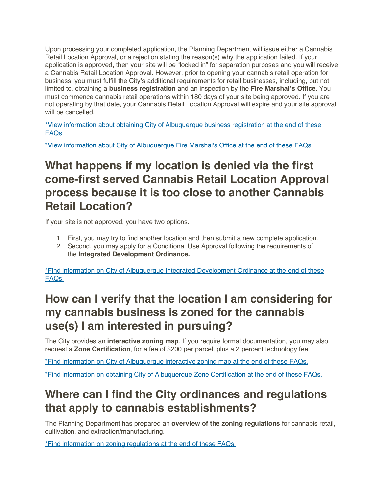Upon processing your completed application, the Planning Department will issue either a Cannabis Retail Location Approval, or a rejection stating the reason(s) why the application failed. If your application is approved, then your site will be "locked in" for separation purposes and you will receive a Cannabis Retail Location Approval. However, prior to opening your cannabis retail operation for business, you must fulfill the City's additional requirements for retail businesses, including, but not limited to, obtaining a **business registration** and an inspection by the **Fire Marshal's Office.** You must commence cannabis retail operations within 180 days of your site being approved. If you are not operating by that date, your Cannabis Retail Location Approval will expire and your site approval will be cancelled.

\*View information about obtaining City of Albuquerque business registration at the end of these FAQs.

\*View information about City of Albuquerque Fire Marshal's Office at the end of these FAQs.

## **What happens if my location is denied via the first come-first served Cannabis Retail Location Approval process because it is too close to another Cannabis Retail Location?**

If your site is not approved, you have two options.

- 1. First, you may try to find another location and then submit a new complete application.
- 2. Second, you may apply for a Conditional Use Approval following the requirements of the **Integrated Development Ordinance.**

\*Find information on City of Albuquerque Integrated Development Ordinance at the end of these FAQs.

## **How can I verify that the location I am considering for my cannabis business is zoned for the cannabis use(s) I am interested in pursuing?**

The City provides an **interactive zoning map**. If you require formal documentation, you may also request a **Zone Certification**, for a fee of \$200 per parcel, plus a 2 percent technology fee.

\*Find information on City of Albuquerque interactive zoning map at the end of these FAQs.

\*Find information on obtaining City of Albuquerque Zone Certification at the end of these FAQs.

## **Where can I find the City ordinances and regulations that apply to cannabis establishments?**

The Planning Department has prepared an **overview of the zoning regulations** for cannabis retail, cultivation, and extraction/manufacturing.

\*Find information on zoning regulations at the end of these FAQs.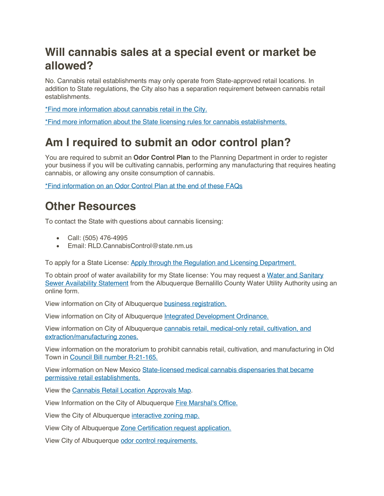## **Will cannabis sales at a special event or market be allowed?**

No. Cannabis retail establishments may only operate from State-approved retail locations. In addition to State regulations, the City also has a separation requirement between cannabis retail establishments.

\*Find more information about cannabis retail in the City.

\*Find more information about the State licensing rules for cannabis establishments.

## **Am I required to submit an odor control plan?**

You are required to submit an **Odor Control Plan** to the Planning Department in order to register your business if you will be cultivating cannabis, performing any manufacturing that requires heating cannabis, or allowing any onsite consumption of cannabis.

\*Find information on an Odor Control Plan at the end of these FAQs

#### **Other Resources**

To contact the State with questions about cannabis licensing:

- Call: (505) 476-4995
- Email: RLD.CannabisControl@state.nm.us

To apply for a State License: Apply through the Regulation and Licensing Department.

To obtain proof of water availability for my State license: You may request a Water and Sanitary Sewer Availability Statement from the Albuquerque Bernalillo County Water Utility Authority using an online form.

View information on City of Albuquerque business registration.

View information on City of Albuquerque Integrated Development Ordinance.

View information on City of Albuquerque cannabis retail, medical-only retail, cultivation, and extraction/manufacturing zones.

View information on the moratorium to prohibit cannabis retail, cultivation, and manufacturing in Old Town in Council Bill number R-21-165.

View information on New Mexico State-licensed medical cannabis dispensaries that became permissive retail establishments.

View the Cannabis Retail Location Approvals Map.

View Information on the City of Albuquerque Fire Marshal's Office.

View the City of Albuquerque interactive zoning map.

View City of Albuquerque Zone Certification request application.

View City of Albuquerque odor control requirements.